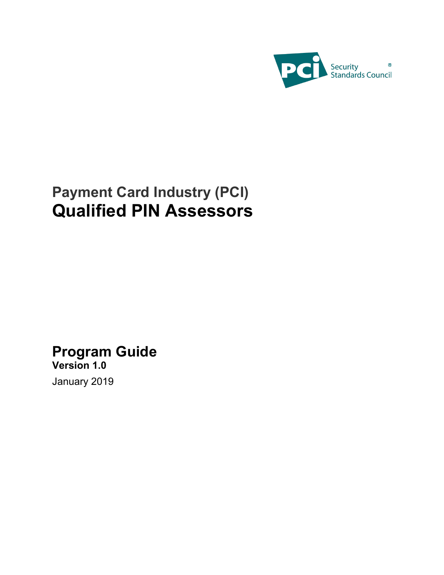

# **Payment Card Industry (PCI) Qualified PIN Assessors**

# **Program Guide**

**Version 1.0** January 2019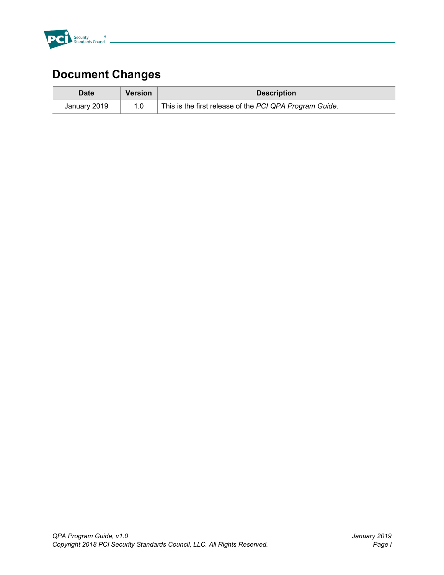

# **Document Changes**

| Date         | <b>Version</b> | <b>Description</b>                                      |
|--------------|----------------|---------------------------------------------------------|
| January 2019 | 1.0            | This is the first release of the PCI QPA Program Guide. |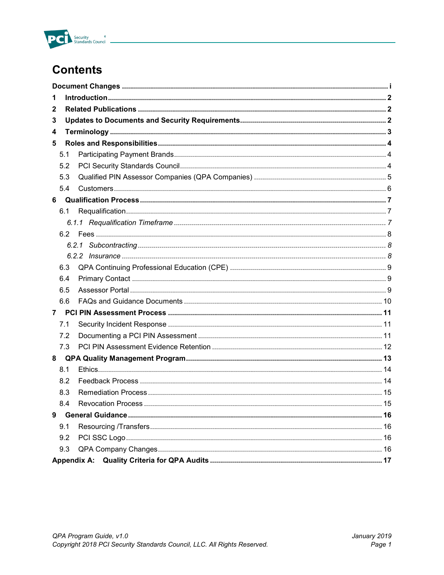

# **Contents**

| 1   |  |
|-----|--|
| 2   |  |
| 3   |  |
| 4   |  |
| 5   |  |
| 5.1 |  |
| 5.2 |  |
| 5.3 |  |
| 5.4 |  |
| 6   |  |
| 6.1 |  |
|     |  |
|     |  |
|     |  |
|     |  |
| 6.3 |  |
| 6.4 |  |
| 6.5 |  |
| 6.6 |  |
| 7   |  |
| 7.1 |  |
| 7.2 |  |
| 7.3 |  |
| 8   |  |
| 8.1 |  |
| 8.2 |  |
| 8.3 |  |
| 8.4 |  |
| 9   |  |
| 9.1 |  |
| 9.2 |  |
| 9.3 |  |
|     |  |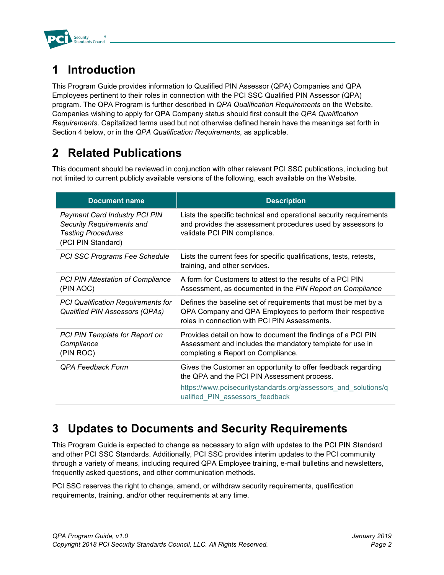

## **1 Introduction**

This Program Guide provides information to Qualified PIN Assessor (QPA) Companies and QPA Employees pertinent to their roles in connection with the PCI SSC Qualified PIN Assessor (QPA) program. The QPA Program is further described in *QPA Qualification Requirements* on the Website. Companies wishing to apply for QPA Company status should first consult the *QPA Qualification Requirements*. Capitalized terms used but not otherwise defined herein have the meanings set forth in Section 4 below, or in the *QPA Qualification Requirements*, as applicable.

### **2 Related Publications**

This document should be reviewed in conjunction with other relevant PCI SSC publications, including but not limited to current publicly available versions of the following, each available on the Website.

| <b>Document name</b>                                                                                                 | <b>Description</b>                                                                                                                                                           |
|----------------------------------------------------------------------------------------------------------------------|------------------------------------------------------------------------------------------------------------------------------------------------------------------------------|
| <b>Payment Card Industry PCI PIN</b><br>Security Requirements and<br><b>Testing Procedures</b><br>(PCI PIN Standard) | Lists the specific technical and operational security requirements<br>and provides the assessment procedures used by assessors to<br>validate PCI PIN compliance.            |
| PCI SSC Programs Fee Schedule                                                                                        | Lists the current fees for specific qualifications, tests, retests,<br>training, and other services.                                                                         |
| <b>PCI PIN Attestation of Compliance</b><br>(PIN AOC)                                                                | A form for Customers to attest to the results of a PCI PIN<br>Assessment, as documented in the PIN Report on Compliance                                                      |
| <b>PCI Qualification Requirements for</b><br>Qualified PIN Assessors (QPAs)                                          | Defines the baseline set of requirements that must be met by a<br>QPA Company and QPA Employees to perform their respective<br>roles in connection with PCI PIN Assessments. |
| PCI PIN Template for Report on<br>Compliance<br>(PIN ROC)                                                            | Provides detail on how to document the findings of a PCI PIN<br>Assessment and includes the mandatory template for use in<br>completing a Report on Compliance.              |
| QPA Feedback Form                                                                                                    | Gives the Customer an opportunity to offer feedback regarding<br>the QPA and the PCI PIN Assessment process.                                                                 |
|                                                                                                                      | https://www.pcisecuritystandards.org/assessors and solutions/q<br>ualified PIN assessors feedback                                                                            |

### **3 Updates to Documents and Security Requirements**

This Program Guide is expected to change as necessary to align with updates to the PCI PIN Standard and other PCI SSC Standards. Additionally, PCI SSC provides interim updates to the PCI community through a variety of means, including required QPA Employee training, e-mail bulletins and newsletters, frequently asked questions, and other communication methods.

PCI SSC reserves the right to change, amend, or withdraw security requirements, qualification requirements, training, and/or other requirements at any time.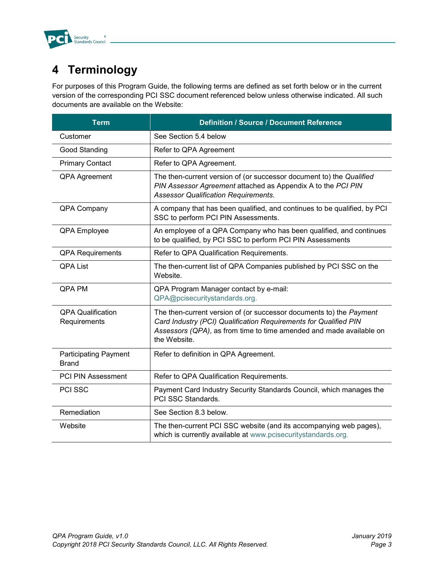

## **4 Terminology**

For purposes of this Program Guide, the following terms are defined as set forth below or in the current version of the corresponding PCI SSC document referenced below unless otherwise indicated. All such documents are available on the Website:

| <b>Term</b>                                  | <b>Definition / Source / Document Reference</b>                                                                                                                                                                                |
|----------------------------------------------|--------------------------------------------------------------------------------------------------------------------------------------------------------------------------------------------------------------------------------|
| Customer                                     | See Section 5.4 below                                                                                                                                                                                                          |
| Good Standing                                | Refer to QPA Agreement                                                                                                                                                                                                         |
| <b>Primary Contact</b>                       | Refer to QPA Agreement.                                                                                                                                                                                                        |
| <b>QPA Agreement</b>                         | The then-current version of (or successor document to) the Qualified<br>PIN Assessor Agreement attached as Appendix A to the PCI PIN<br><b>Assessor Qualification Requirements.</b>                                            |
| QPA Company                                  | A company that has been qualified, and continues to be qualified, by PCI<br>SSC to perform PCI PIN Assessments.                                                                                                                |
| QPA Employee                                 | An employee of a QPA Company who has been qualified, and continues<br>to be qualified, by PCI SSC to perform PCI PIN Assessments                                                                                               |
| <b>QPA Requirements</b>                      | Refer to QPA Qualification Requirements.                                                                                                                                                                                       |
| <b>QPA List</b>                              | The then-current list of QPA Companies published by PCI SSC on the<br>Website.                                                                                                                                                 |
| QPA PM                                       | QPA Program Manager contact by e-mail:<br>QPA@pcisecuritystandards.org.                                                                                                                                                        |
| <b>QPA Qualification</b><br>Requirements     | The then-current version of (or successor documents to) the Payment<br>Card Industry (PCI) Qualification Requirements for Qualified PIN<br>Assessors (QPA), as from time to time amended and made available on<br>the Website. |
| <b>Participating Payment</b><br><b>Brand</b> | Refer to definition in QPA Agreement.                                                                                                                                                                                          |
| <b>PCI PIN Assessment</b>                    | Refer to QPA Qualification Requirements.                                                                                                                                                                                       |
| PCI SSC                                      | Payment Card Industry Security Standards Council, which manages the<br>PCI SSC Standards.                                                                                                                                      |
| Remediation                                  | See Section 8.3 below.                                                                                                                                                                                                         |
| Website                                      | The then-current PCI SSC website (and its accompanying web pages),<br>which is currently available at www.pcisecuritystandards.org.                                                                                            |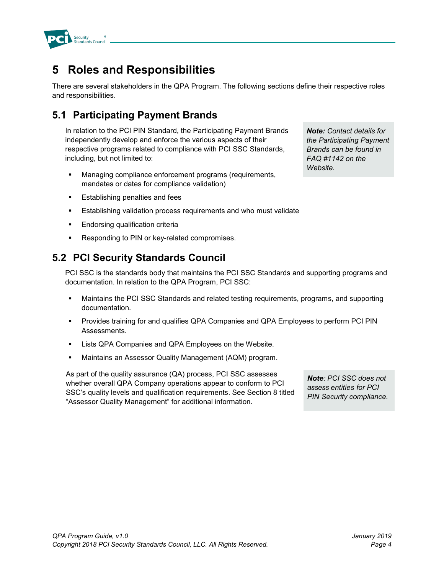

### **5 Roles and Responsibilities**

There are several stakeholders in the QPA Program. The following sections define their respective roles and responsibilities.

### **5.1 Participating Payment Brands**

In relation to the PCI PIN Standard, the Participating Payment Brands independently develop and enforce the various aspects of their respective programs related to compliance with PCI SSC Standards, including, but not limited to:

- Managing compliance enforcement programs (requirements, mandates or dates for compliance validation)
- **Establishing penalties and fees**
- Establishing validation process requirements and who must validate
- Endorsing qualification criteria
- Responding to PIN or key-related compromises.

#### **5.2 PCI Security Standards Council**

PCI SSC is the standards body that maintains the PCI SSC Standards and supporting programs and documentation. In relation to the QPA Program, PCI SSC:

- Maintains the PCI SSC Standards and related testing requirements, programs, and supporting documentation.
- **Provides training for and qualifies QPA Companies and QPA Employees to perform PCI PIN** Assessments.
- **EXECT A** Companies and QPA Employees on the Website.
- Maintains an Assessor Quality Management (AQM) program.

As part of the quality assurance (QA) process, PCI SSC assesses whether overall QPA Company operations appear to conform to PCI SSC's quality levels and qualification requirements. See Section 8 titled "Assessor Quality Management" for additional information.

*Note: PCI SSC does not assess entities for PCI PIN Security compliance.*

*Note: Contact details for the Participating Payment Brands can be found in FAQ #1142 on the Website.*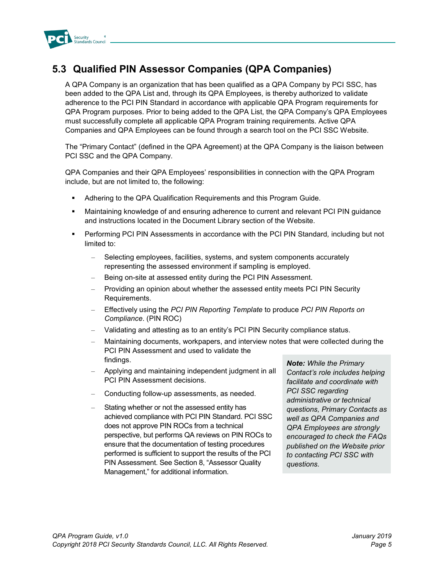

### **5.3 Qualified PIN Assessor Companies (QPA Companies)**

A QPA Company is an organization that has been qualified as a QPA Company by PCI SSC, has been added to the QPA List and, through its QPA Employees, is thereby authorized to validate adherence to the PCI PIN Standard in accordance with applicable QPA Program requirements for QPA Program purposes. Prior to being added to the QPA List, the QPA Company's QPA Employees must successfully complete all applicable QPA Program training requirements*.* Active QPA Companies and QPA Employees can be found through a search tool on the PCI SSC Website.

The "Primary Contact" (defined in the QPA Agreement) at the QPA Company is the liaison between PCI SSC and the QPA Company.

QPA Companies and their QPA Employees' responsibilities in connection with the QPA Program include, but are not limited to, the following:

- Adhering to the QPA Qualification Requirements and this Program Guide.
- Maintaining knowledge of and ensuring adherence to current and relevant PCI PIN guidance and instructions located in the Document Library section of the Website.
- Performing PCI PIN Assessments in accordance with the PCI PIN Standard*,* including but not limited to:
	- Selecting employees, facilities, systems, and system components accurately representing the assessed environment if sampling is employed.
	- Being on-site at assessed entity during the PCI PIN Assessment.
	- Providing an opinion about whether the assessed entity meets PCI PIN Security Requirements.
	- Effectively using the *PCI PIN Reporting Template* to produce *PCI PIN Reports on Compliance*. (PIN ROC)
	- Validating and attesting as to an entity's PCI PIN Security compliance status.
	- Maintaining documents, workpapers, and interview notes that were collected during the PCI PIN Assessment and used to validate the findings.
	- Applying and maintaining independent judgment in all PCI PIN Assessment decisions.
	- Conducting follow-up assessments, as needed.
	- Stating whether or not the assessed entity has achieved compliance with PCI PIN Standard. PCI SSC does not approve PIN ROCs from a technical perspective, but performs QA reviews on PIN ROCs to ensure that the documentation of testing procedures performed is sufficient to support the results of the PCI PIN Assessment. See Section 8, "Assessor Quality Management," for additional information.

*Note: While the Primary Contact's role includes helping facilitate and coordinate with PCI SSC regarding administrative or technical questions, Primary Contacts as well as QPA Companies and QPA Employees are strongly encouraged to check the FAQs published on the Website prior to contacting PCI SSC with questions.*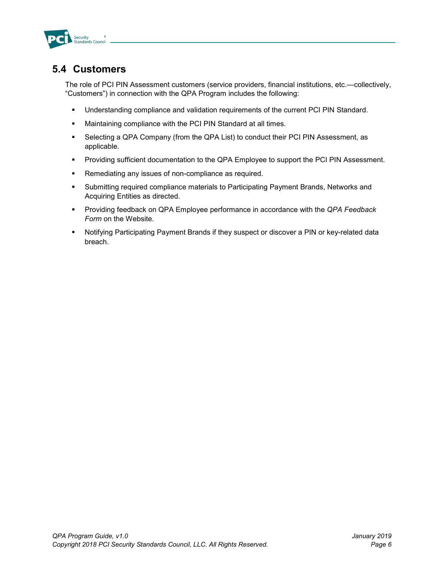

#### **5.4 Customers**

The role of PCI PIN Assessment customers (service providers, financial institutions, etc.—collectively, "Customers") in connection with the QPA Program includes the following:

- Understanding compliance and validation requirements of the current PCI PIN Standard.
- Maintaining compliance with the PCI PIN Standard at all times.
- Selecting a QPA Company (from the QPA List) to conduct their PCI PIN Assessment, as applicable.
- **Providing sufficient documentation to the QPA Employee to support the PCI PIN Assessment.**
- **Remediating any issues of non-compliance as required.**
- Submitting required compliance materials to Participating Payment Brands, Networks and Acquiring Entities as directed.
- Providing feedback on QPA Employee performance in accordance with the *QPA Feedback Form* on the Website.
- Notifying Participating Payment Brands if they suspect or discover a PIN or key-related data breach.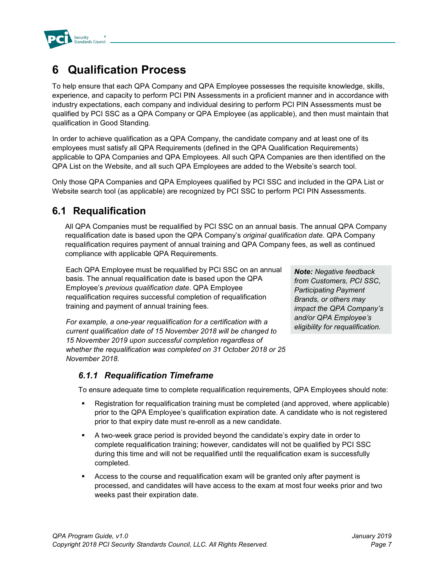

### **6 Qualification Process**

To help ensure that each QPA Company and QPA Employee possesses the requisite knowledge, skills, experience, and capacity to perform PCI PIN Assessments in a proficient manner and in accordance with industry expectations, each company and individual desiring to perform PCI PIN Assessments must be qualified by PCI SSC as a QPA Company or QPA Employee (as applicable), and then must maintain that qualification in Good Standing.

In order to achieve qualification as a QPA Company, the candidate company and at least one of its employees must satisfy all QPA Requirements (defined in the QPA Qualification Requirements) applicable to QPA Companies and QPA Employees. All such QPA Companies are then identified on the QPA List on the Website, and all such QPA Employees are added to the Website's search tool.

Only those QPA Companies and QPA Employees qualified by PCI SSC and included in the QPA List or Website search tool (as applicable) are recognized by PCI SSC to perform PCI PIN Assessments.

#### **6.1 Requalification**

All QPA Companies must be requalified by PCI SSC on an annual basis. The annual QPA Company requalification date is based upon the QPA Company's *original qualification date.* QPA Company requalification requires payment of annual training and QPA Company fees, as well as continued compliance with applicable QPA Requirements.

Each QPA Employee must be requalified by PCI SSC on an annual basis. The annual requalification date is based upon the QPA Employee's *previous qualification date*. QPA Employee requalification requires successful completion of requalification training and payment of annual training fees.

*For example, a one-year requalification for a certification with a current qualification date of 15 November 2018 will be changed to 15 November 2019 upon successful completion regardless of whether the requalification was completed on 31 October 2018 or 25 November 2018.*

*Note: Negative feedback from Customers, PCI SSC, Participating Payment Brands, or others may impact the QPA Company's and/or QPA Employee's eligibility for requalification.*

#### *6.1.1 Requalification Timeframe*

To ensure adequate time to complete requalification requirements, QPA Employees should note:

- Registration for requalification training must be completed (and approved, where applicable) prior to the QPA Employee's qualification expiration date. A candidate who is not registered prior to that expiry date must re-enroll as a new candidate.
- A two-week grace period is provided beyond the candidate's expiry date in order to complete requalification training; however, candidates will not be qualified by PCI SSC during this time and will not be requalified until the requalification exam is successfully completed.
- Access to the course and requalification exam will be granted only after payment is processed, and candidates will have access to the exam at most four weeks prior and two weeks past their expiration date.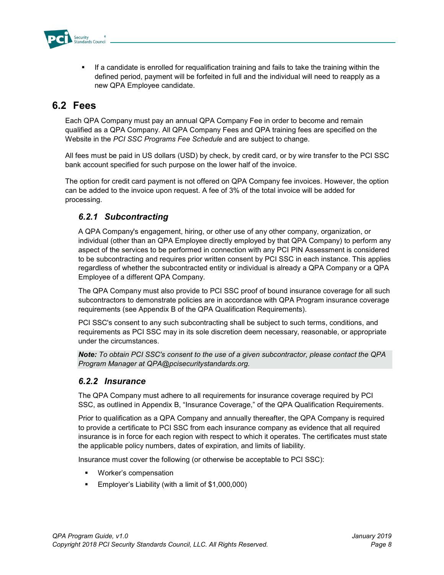

 If a candidate is enrolled for requalification training and fails to take the training within the defined period, payment will be forfeited in full and the individual will need to reapply as a new QPA Employee candidate.

#### **6.2 Fees**

Each QPA Company must pay an annual QPA Company Fee in order to become and remain qualified as a QPA Company. All QPA Company Fees and QPA training fees are specified on the Website in the *PCI SSC Programs Fee Schedule* and are subject to change.

All fees must be paid in US dollars (USD) by check, by credit card, or by wire transfer to the PCI SSC bank account specified for such purpose on the lower half of the invoice.

The option for credit card payment is not offered on QPA Company fee invoices. However, the option can be added to the invoice upon request. A fee of 3% of the total invoice will be added for processing.

#### *6.2.1 Subcontracting*

A QPA Company's engagement, hiring, or other use of any other company, organization, or individual (other than an QPA Employee directly employed by that QPA Company) to perform any aspect of the services to be performed in connection with any PCI PIN Assessment is considered to be subcontracting and requires prior written consent by PCI SSC in each instance. This applies regardless of whether the subcontracted entity or individual is already a QPA Company or a QPA Employee of a different QPA Company.

The QPA Company must also provide to PCI SSC proof of bound insurance coverage for all such subcontractors to demonstrate policies are in accordance with QPA Program insurance coverage requirements (see Appendix B of the QPA Qualification Requirements).

PCI SSC's consent to any such subcontracting shall be subject to such terms, conditions, and requirements as PCI SSC may in its sole discretion deem necessary, reasonable, or appropriate under the circumstances.

*Note: To obtain PCI SSC's consent to the use of a given subcontractor, please contact the QPA Program Manager at QPA@pcisecuritystandards.org.*

#### *6.2.2 Insurance*

The QPA Company must adhere to all requirements for insurance coverage required by PCI SSC, as outlined in Appendix B, "Insurance Coverage," of the QPA Qualification Requirements.

Prior to qualification as a QPA Company and annually thereafter, the QPA Company is required to provide a certificate to PCI SSC from each insurance company as evidence that all required insurance is in force for each region with respect to which it operates. The certificates must state the applicable policy numbers, dates of expiration, and limits of liability.

Insurance must cover the following (or otherwise be acceptable to PCI SSC):

- Worker's compensation
- **Employer's Liability (with a limit of \$1,000,000)**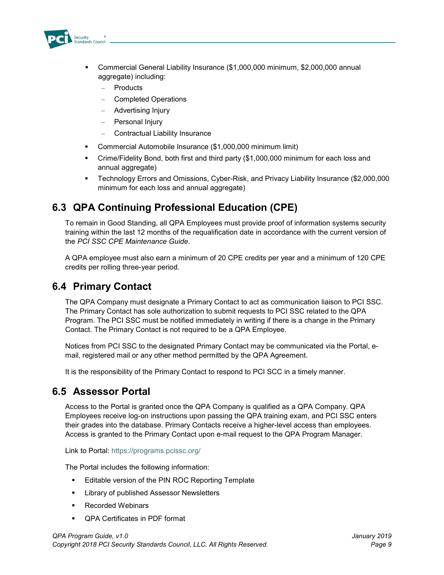

- Commercial General Liability Insurance (\$1,000,000 minimum, \$2,000,000 annual aggregate) including:
	- **Products**
	- Completed Operations
	- Advertising Injury
	- Personal Injury
	- Contractual Liability Insurance
- Commercial Automobile Insurance (\$1,000,000 minimum limit)
- Crime/Fidelity Bond, both first and third party (\$1,000,000 minimum for each loss and annual aggregate)
- Technology Errors and Omissions, Cyber-Risk, and Privacy Liability Insurance (\$2,000,000 minimum for each loss and annual aggregate)

#### **6.3 QPA Continuing Professional Education (CPE)**

To remain in Good Standing, all QPA Employees must provide proof of information systems security training within the last 12 months of the requalification date in accordance with the current version of the *PCI SSC CPE Maintenance Guide*.

A QPA employee must also earn a minimum of 20 CPE credits per year and a minimum of 120 CPE credits per rolling three-year period.

#### **6.4 Primary Contact**

The QPA Company must designate a Primary Contact to act as communication liaison to PCI SSC. The Primary Contact has sole authorization to submit requests to PCI SSC related to the QPA Program. The PCI SSC must be notified immediately in writing if there is a change in the Primary Contact. The Primary Contact is not required to be a QPA Employee.

Notices from PCI SSC to the designated Primary Contact may be communicated via the Portal, email, registered mail or any other method permitted by the QPA Agreement.

It is the responsibility of the Primary Contact to respond to PCI SCC in a timely manner.

#### **6.5 Assessor Portal**

Access to the Portal is granted once the QPA Company is qualified as a QPA Company. QPA Employees receive log-on instructions upon passing the QPA training exam, and PCI SSC enters their grades into the database. Primary Contacts receive a higher-level access than employees. Access is granted to the Primary Contact upon e-mail request to the QPA Program Manager.

Link to Portal: <https://programs.pcissc.org/>

The Portal includes the following information:

- **Editable version of the PIN ROC Reporting Template**
- Library of published Assessor Newsletters
- Recorded Webinars
- QPA Certificates in PDF format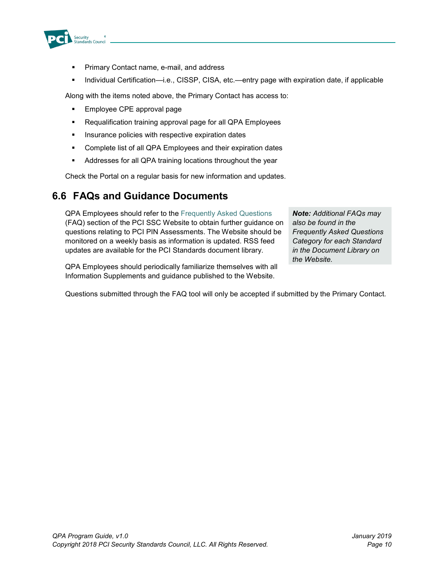

- Primary Contact name, e-mail, and address
- Individual Certification—i.e., CISSP, CISA, etc.—entry page with expiration date, if applicable

Along with the items noted above, the Primary Contact has access to:

- **Employee CPE approval page**
- Requalification training approval page for all QPA Employees
- **Insurance policies with respective expiration dates**
- Complete list of all QPA Employees and their expiration dates
- Addresses for all QPA training locations throughout the year

Check the Portal on a regular basis for new information and updates.

#### **6.6 FAQs and Guidance Documents**

QPA Employees should refer to the [Frequently Asked Questions](https://www.pcisecuritystandards.org/faqs) (FAQ) section of the PCI SSC Website to obtain further guidance on questions relating to PCI PIN Assessments. The Website should be monitored on a weekly basis as information is updated. RSS feed updates are available for the PCI Standards document library.

QPA Employees should periodically familiarize themselves with all Information Supplements and guidance published to the Website.

*Note: Additional FAQs may also be found in the Frequently Asked Questions Category for each Standard in the Document Library on the Website.*

Questions submitted through the FAQ tool will only be accepted if submitted by the Primary Contact.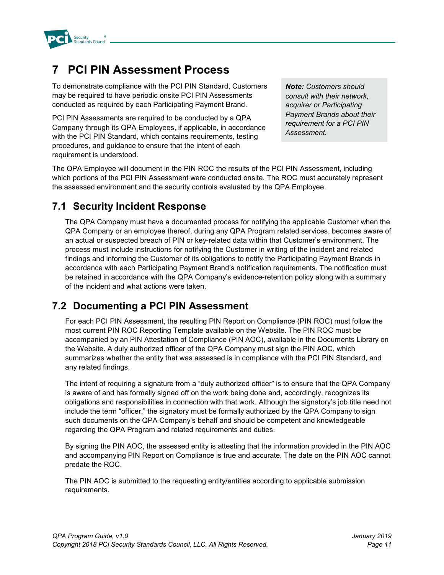

### **7 PCI PIN Assessment Process**

To demonstrate compliance with the PCI PIN Standard, Customers may be required to have periodic onsite PCI PIN Assessments conducted as required by each Participating Payment Brand.

PCI PIN Assessments are required to be conducted by a QPA Company through its QPA Employees, if applicable, in accordance with the PCI PIN Standard, which contains requirements, testing procedures, and guidance to ensure that the intent of each requirement is understood.

*Note: Customers should consult with their network, acquirer or Participating Payment Brands about their requirement for a PCI PIN Assessment.* 

The QPA Employee will document in the PIN ROC the results of the PCI PIN Assessment, including which portions of the PCI PIN Assessment were conducted onsite. The ROC must accurately represent the assessed environment and the security controls evaluated by the QPA Employee.

### **7.1 Security Incident Response**

The QPA Company must have a documented process for notifying the applicable Customer when the QPA Company or an employee thereof, during any QPA Program related services, becomes aware of an actual or suspected breach of PIN or key-related data within that Customer's environment. The process must include instructions for notifying the Customer in writing of the incident and related findings and informing the Customer of its obligations to notify the Participating Payment Brands in accordance with each Participating Payment Brand's notification requirements. The notification must be retained in accordance with the QPA Company's evidence-retention policy along with a summary of the incident and what actions were taken.

#### **7.2 Documenting a PCI PIN Assessment**

For each PCI PIN Assessment, the resulting PIN Report on Compliance (PIN ROC) must follow the most current PIN ROC Reporting Template available on the Website. The PIN ROC must be accompanied by an PIN Attestation of Compliance (PIN AOC), available in the Documents Library on the Website. A duly authorized officer of the QPA Company must sign the PIN AOC, which summarizes whether the entity that was assessed is in compliance with the PCI PIN Standard, and any related findings.

The intent of requiring a signature from a "duly authorized officer" is to ensure that the QPA Company is aware of and has formally signed off on the work being done and, accordingly, recognizes its obligations and responsibilities in connection with that work. Although the signatory's job title need not include the term "officer," the signatory must be formally authorized by the QPA Company to sign such documents on the QPA Company's behalf and should be competent and knowledgeable regarding the QPA Program and related requirements and duties.

By signing the PIN AOC, the assessed entity is attesting that the information provided in the PIN AOC and accompanying PIN Report on Compliance is true and accurate. The date on the PIN AOC cannot predate the ROC.

The PIN AOC is submitted to the requesting entity/entities according to applicable submission requirements.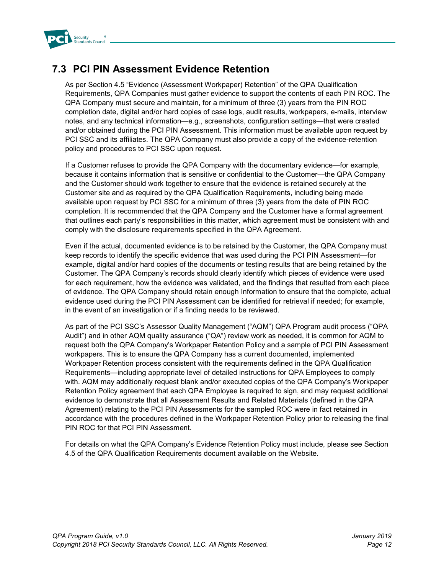

### **7.3 PCI PIN Assessment Evidence Retention**

As per Section 4.5 "Evidence (Assessment Workpaper) Retention" of the QPA Qualification Requirements, QPA Companies must gather evidence to support the contents of each PIN ROC. The QPA Company must secure and maintain, for a minimum of three (3) years from the PIN ROC completion date, digital and/or hard copies of case logs, audit results, workpapers, e-mails, interview notes, and any technical information—e.g., screenshots, configuration settings—that were created and/or obtained during the PCI PIN Assessment. This information must be available upon request by PCI SSC and its affiliates. The QPA Company must also provide a copy of the evidence-retention policy and procedures to PCI SSC upon request.

If a Customer refuses to provide the QPA Company with the documentary evidence—for example, because it contains information that is sensitive or confidential to the Customer—the QPA Company and the Customer should work together to ensure that the evidence is retained securely at the Customer site and as required by the QPA Qualification Requirements, including being made available upon request by PCI SSC for a minimum of three (3) years from the date of PIN ROC completion. It is recommended that the QPA Company and the Customer have a formal agreement that outlines each party's responsibilities in this matter, which agreement must be consistent with and comply with the disclosure requirements specified in the QPA Agreement.

Even if the actual, documented evidence is to be retained by the Customer, the QPA Company must keep records to identify the specific evidence that was used during the PCI PIN Assessment—for example, digital and/or hard copies of the documents or testing results that are being retained by the Customer. The QPA Company's records should clearly identify which pieces of evidence were used for each requirement, how the evidence was validated, and the findings that resulted from each piece of evidence. The QPA Company should retain enough Information to ensure that the complete, actual evidence used during the PCI PIN Assessment can be identified for retrieval if needed; for example, in the event of an investigation or if a finding needs to be reviewed.

As part of the PCI SSC's Assessor Quality Management ("AQM") QPA Program audit process ("QPA Audit") and in other AQM quality assurance ("QA") review work as needed, it is common for AQM to request both the QPA Company's Workpaper Retention Policy and a sample of PCI PIN Assessment workpapers. This is to ensure the QPA Company has a current documented, implemented Workpaper Retention process consistent with the requirements defined in the QPA Qualification Requirements—including appropriate level of detailed instructions for QPA Employees to comply with. AQM may additionally request blank and/or executed copies of the QPA Company's Workpaper Retention Policy agreement that each QPA Employee is required to sign, and may request additional evidence to demonstrate that all Assessment Results and Related Materials (defined in the QPA Agreement) relating to the PCI PIN Assessments for the sampled ROC were in fact retained in accordance with the procedures defined in the Workpaper Retention Policy prior to releasing the final PIN ROC for that PCI PIN Assessment.

For details on what the QPA Company's Evidence Retention Policy must include, please see Section 4.5 of the QPA Qualification Requirements document available on the Website.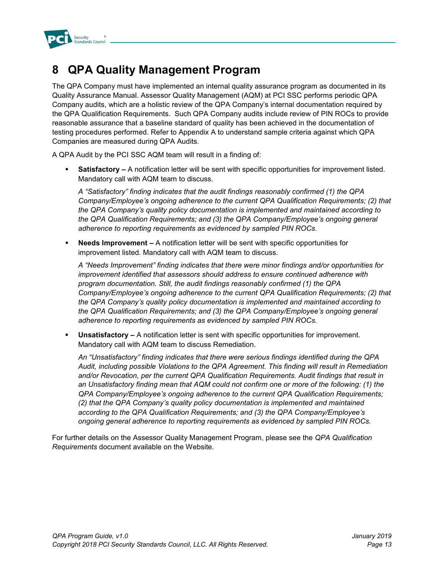

### **8 QPA Quality Management Program**

The QPA Company must have implemented an internal quality assurance program as documented in its Quality Assurance Manual. Assessor Quality Management (AQM) at PCI SSC performs periodic QPA Company audits, which are a holistic review of the QPA Company's internal documentation required by the QPA Qualification Requirements. Such QPA Company audits include review of PIN ROCs to provide reasonable assurance that a baseline standard of quality has been achieved in the documentation of testing procedures performed. Refer to Appendix A to understand sample criteria against which QPA Companies are measured during QPA Audits.

A QPA Audit by the PCI SSC AQM team will result in a finding of:

**Satisfactory –** A notification letter will be sent with specific opportunities for improvement listed. Mandatory call with AQM team to discuss.

*A "Satisfactory" finding indicates that the audit findings reasonably confirmed (1) the QPA Company/Employee's ongoing adherence to the current QPA Qualification Requirements; (2) that the QPA Company's quality policy documentation is implemented and maintained according to the QPA Qualification Requirements; and (3) the QPA Company/Employee's ongoing general adherence to reporting requirements as evidenced by sampled PIN ROCs.*

 **Needs Improvement –** A notification letter will be sent with specific opportunities for improvement listed. Mandatory call with AQM team to discuss.

*A "Needs Improvement" finding indicates that there were minor findings and/or opportunities for improvement identified that assessors should address to ensure continued adherence with program documentation. Still, the audit findings reasonably confirmed (1) the QPA Company/Employee's ongoing adherence to the current QPA Qualification Requirements; (2) that the QPA Company's quality policy documentation is implemented and maintained according to the QPA Qualification Requirements; and (3) the QPA Company/Employee's ongoing general adherence to reporting requirements as evidenced by sampled PIN ROCs.*

 **Unsatisfactory –** A notification letter is sent with specific opportunities for improvement. Mandatory call with AQM team to discuss Remediation.

*An "Unsatisfactory" finding indicates that there were serious findings identified during the QPA Audit, including possible Violations to the QPA Agreement. This finding will result in Remediation and/or Revocation, per the current QPA Qualification Requirements. Audit findings that result in an Unsatisfactory finding mean that AQM could not confirm one or more of the following: (1) the QPA Company/Employee's ongoing adherence to the current QPA Qualification Requirements; (2) that the QPA Company's quality policy documentation is implemented and maintained according to the QPA Qualification Requirements; and (3) the QPA Company/Employee's ongoing general adherence to reporting requirements as evidenced by sampled PIN ROCs.*

For further details on the Assessor Quality Management Program, please see the *QPA Qualification Requirements* document available on the Website.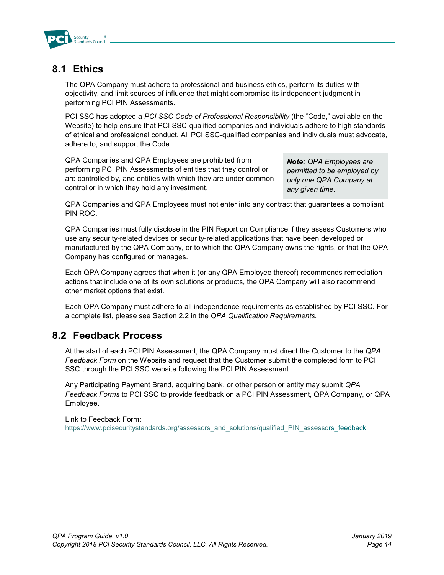

#### **8.1 Ethics**

The QPA Company must adhere to professional and business ethics, perform its duties with objectivity, and limit sources of influence that might compromise its independent judgment in performing PCI PIN Assessments.

PCI SSC has adopted a *[PCI SSC Code of Professional Responsibility](https://www.pcisecuritystandards.org/documents/PCI_SSC_Code_of_Professional_Responsibility.pdf?agreement=true&time=1477003417206)* (the "Code," available on the Website) to help ensure that PCI SSC-qualified companies and individuals adhere to high standards of ethical and professional conduct. All PCI SSC-qualified companies and individuals must advocate, adhere to, and support the Code.

QPA Companies and QPA Employees are prohibited from performing PCI PIN Assessments of entities that they control or are controlled by, and entities with which they are under common control or in which they hold any investment.

*Note: QPA Employees are permitted to be employed by only one QPA Company at any given time.*

QPA Companies and QPA Employees must not enter into any contract that guarantees a compliant PIN ROC.

QPA Companies must fully disclose in the PIN Report on Compliance if they assess Customers who use any security-related devices or security-related applications that have been developed or manufactured by the QPA Company, or to which the QPA Company owns the rights, or that the QPA Company has configured or manages.

Each QPA Company agrees that when it (or any QPA Employee thereof) recommends remediation actions that include one of its own solutions or products, the QPA Company will also recommend other market options that exist.

Each QPA Company must adhere to all independence requirements as established by PCI SSC. For a complete list, please see Section 2.2 in the *QPA Qualification Requirements.*

#### **8.2 Feedback Process**

At the start of each PCI PIN Assessment, the QPA Company must direct the Customer to the *QPA Feedback Form* on the Website and request that the Customer submit the completed form to PCI SSC through the PCI SSC website following the PCI PIN Assessment.

Any Participating Payment Brand, acquiring bank, or other person or entity may submit *QPA Feedback Forms* to PCI SSC to provide feedback on a PCI PIN Assessment, QPA Company, or QPA Employee.

#### Link to Feedback Form:

[https://www.pcisecuritystandards.org/assessors\\_and\\_solutions/qualified\\_PIN\\_assessors\\_feedback](https://www.pcisecuritystandards.org/assessors_and_solutions/qualified_PIN_assessors_feedback)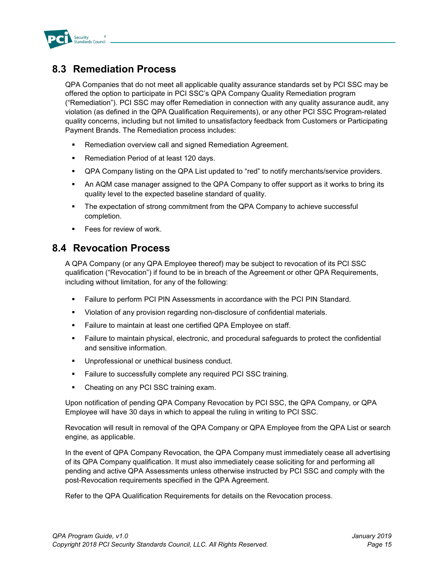

### **8.3 Remediation Process**

QPA Companies that do not meet all applicable quality assurance standards set by PCI SSC may be offered the option to participate in PCI SSC's QPA Company Quality Remediation program ("Remediation"). PCI SSC may offer Remediation in connection with any quality assurance audit, any violation (as defined in the QPA Qualification Requirements), or any other PCI SSC Program-related quality concerns, including but not limited to unsatisfactory feedback from Customers or Participating Payment Brands. The Remediation process includes:

- Remediation overview call and signed Remediation Agreement.
- **Remediation Period of at least 120 days.**
- QPA Company listing on the QPA List updated to "red" to notify merchants/service providers.
- An AQM case manager assigned to the QPA Company to offer support as it works to bring its quality level to the expected baseline standard of quality.
- The expectation of strong commitment from the QPA Company to achieve successful completion.
- **Fees for review of work.**

#### **8.4 Revocation Process**

A QPA Company (or any QPA Employee thereof) may be subject to revocation of its PCI SSC qualification ("Revocation") if found to be in breach of the Agreement or other QPA Requirements, including without limitation, for any of the following:

- Failure to perform PCI PIN Assessments in accordance with the PCI PIN Standard.
- Violation of any provision regarding non-disclosure of confidential materials.
- Failure to maintain at least one certified QPA Employee on staff.
- Failure to maintain physical, electronic, and procedural safeguards to protect the confidential and sensitive information.
- Unprofessional or unethical business conduct.
- **Failure to successfully complete any required PCI SSC training.**
- Cheating on any PCI SSC training exam.

Upon notification of pending QPA Company Revocation by PCI SSC, the QPA Company, or QPA Employee will have 30 days in which to appeal the ruling in writing to PCI SSC.

Revocation will result in removal of the QPA Company or QPA Employee from the QPA List or search engine, as applicable.

In the event of QPA Company Revocation, the QPA Company must immediately cease all advertising of its QPA Company qualification. It must also immediately cease soliciting for and performing all pending and active QPA Assessments unless otherwise instructed by PCI SSC and comply with the post-Revocation requirements specified in the QPA Agreement.

Refer to the QPA Qualification Requirements for details on the Revocation process.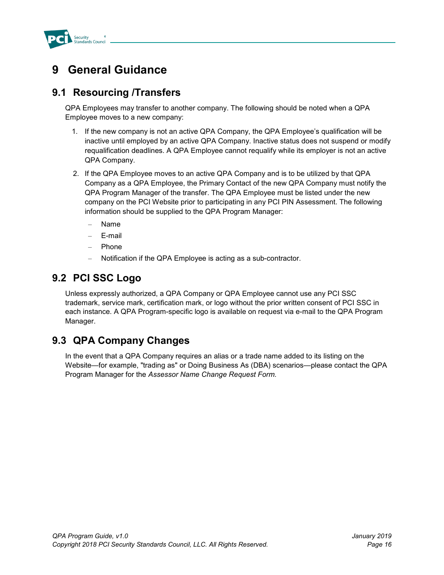

### **9 General Guidance**

#### **9.1 Resourcing /Transfers**

QPA Employees may transfer to another company. The following should be noted when a QPA Employee moves to a new company:

- 1. If the new company is not an active QPA Company, the QPA Employee's qualification will be inactive until employed by an active QPA Company. Inactive status does not suspend or modify requalification deadlines. A QPA Employee cannot requalify while its employer is not an active QPA Company.
- 2. If the QPA Employee moves to an active QPA Company and is to be utilized by that QPA Company as a QPA Employee, the Primary Contact of the new QPA Company must notify the QPA Program Manager of the transfer. The QPA Employee must be listed under the new company on the PCI Website prior to participating in any PCI PIN Assessment. The following information should be supplied to the QPA Program Manager:
	- Name
	- E-mail
	- Phone
	- Notification if the QPA Employee is acting as a sub-contractor.

#### **9.2 PCI SSC Logo**

Unless expressly authorized, a QPA Company or QPA Employee cannot use any PCI SSC trademark, service mark, certification mark, or logo without the prior written consent of PCI SSC in each instance. A QPA Program-specific logo is available on request via e-mail to the QPA Program Manager.

#### **9.3 QPA Company Changes**

In the event that a QPA Company requires an alias or a trade name added to its listing on the Website—for example, "trading as" or Doing Business As (DBA) scenarios—please contact the QPA Program Manager for the *Assessor Name Change Request Form.*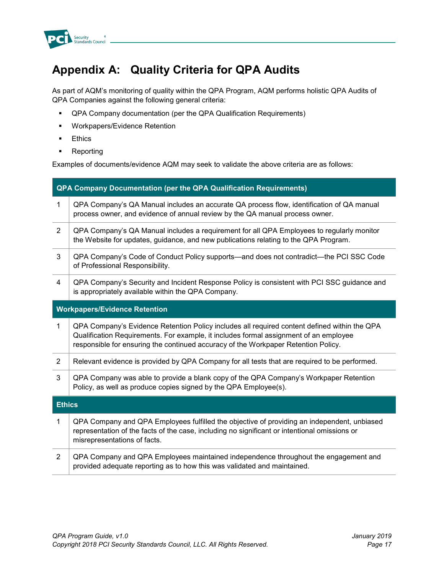

### **Appendix A: Quality Criteria for QPA Audits**

As part of AQM's monitoring of quality within the QPA Program, AQM performs holistic QPA Audits of QPA Companies against the following general criteria:

- QPA Company documentation (per the QPA Qualification Requirements)
- **Workpapers/Evidence Retention**
- **Ethics**
- **Reporting**

Examples of documents/evidence AQM may seek to validate the above criteria are as follows:

| <b>QPA Company Documentation (per the QPA Qualification Requirements)</b>                                                                                                                                                                                                   |  |  |  |
|-----------------------------------------------------------------------------------------------------------------------------------------------------------------------------------------------------------------------------------------------------------------------------|--|--|--|
| QPA Company's QA Manual includes an accurate QA process flow, identification of QA manual<br>process owner, and evidence of annual review by the QA manual process owner.                                                                                                   |  |  |  |
| QPA Company's QA Manual includes a requirement for all QPA Employees to regularly monitor<br>the Website for updates, guidance, and new publications relating to the QPA Program.                                                                                           |  |  |  |
| QPA Company's Code of Conduct Policy supports—and does not contradict—the PCI SSC Code<br>of Professional Responsibility.                                                                                                                                                   |  |  |  |
| QPA Company's Security and Incident Response Policy is consistent with PCI SSC guidance and<br>is appropriately available within the QPA Company.                                                                                                                           |  |  |  |
| <b>Workpapers/Evidence Retention</b>                                                                                                                                                                                                                                        |  |  |  |
| QPA Company's Evidence Retention Policy includes all required content defined within the QPA<br>Qualification Requirements. For example, it includes formal assignment of an employee<br>responsible for ensuring the continued accuracy of the Workpaper Retention Policy. |  |  |  |
| Relevant evidence is provided by QPA Company for all tests that are required to be performed.                                                                                                                                                                               |  |  |  |
| QPA Company was able to provide a blank copy of the QPA Company's Workpaper Retention<br>Policy, as well as produce copies signed by the QPA Employee(s).                                                                                                                   |  |  |  |
| <b>Ethics</b>                                                                                                                                                                                                                                                               |  |  |  |
| QPA Company and QPA Employees fulfilled the objective of providing an independent, unbiased<br>representation of the facts of the case, including no significant or intentional omissions or<br>misrepresentations of facts.                                                |  |  |  |
| QPA Company and QPA Employees maintained independence throughout the engagement and<br>provided adequate reporting as to how this was validated and maintained.                                                                                                             |  |  |  |
|                                                                                                                                                                                                                                                                             |  |  |  |